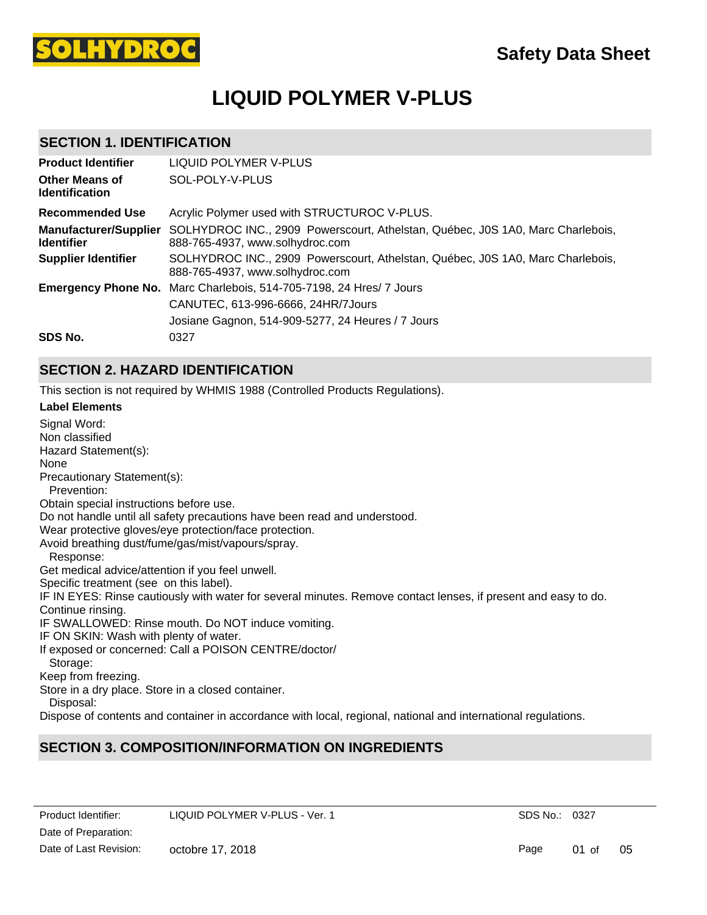

# **LIQUID POLYMER V-PLUS**

### **SECTION 1. IDENTIFICATION**

| <b>Product Identifier</b>                         | LIQUID POLYMER V-PLUS                                                                                             |
|---------------------------------------------------|-------------------------------------------------------------------------------------------------------------------|
| <b>Other Means of</b><br><b>Identification</b>    | SOL-POLY-V-PLUS                                                                                                   |
| <b>Recommended Use</b>                            | Acrylic Polymer used with STRUCTUROC V-PLUS.                                                                      |
| <b>Manufacturer/Supplier</b><br><b>Identifier</b> | SOLHYDROC INC., 2909 Powerscourt, Athelstan, Québec, J0S 1A0, Marc Charlebois,<br>888-765-4937, www.solhydroc.com |
| <b>Supplier Identifier</b>                        | SOLHYDROC INC., 2909 Powerscourt, Athelstan, Québec, J0S 1A0, Marc Charlebois,<br>888-765-4937, www.solhydroc.com |
| <b>Emergency Phone No.</b>                        | Marc Charlebois, 514-705-7198, 24 Hres/ 7 Jours                                                                   |
|                                                   | CANUTEC, 613-996-6666, 24HR/7Jours                                                                                |
|                                                   | Josiane Gagnon, 514-909-5277, 24 Heures / 7 Jours                                                                 |
| SDS No.                                           | 0327                                                                                                              |

### **SECTION 2. HAZARD IDENTIFICATION**

This section is not required by WHMIS 1988 (Controlled Products Regulations).

#### **Label Elements**

Signal Word: Non classified Hazard Statement(s): None Precautionary Statement(s): Prevention: Obtain special instructions before use. Do not handle until all safety precautions have been read and understood. Wear protective gloves/eye protection/face protection. Avoid breathing dust/fume/gas/mist/vapours/spray. Response: Get medical advice/attention if you feel unwell. Specific treatment (see on this label). IF IN EYES: Rinse cautiously with water for several minutes. Remove contact lenses, if present and easy to do. Continue rinsing. IF SWALLOWED: Rinse mouth. Do NOT induce vomiting. IF ON SKIN: Wash with plenty of water. If exposed or concerned: Call a POISON CENTRE/doctor/ Storage: Keep from freezing. Store in a dry place. Store in a closed container. Disposal: Dispose of contents and container in accordance with local, regional, national and international regulations.

# **SECTION 3. COMPOSITION/INFORMATION ON INGREDIENTS**

SDS No.: 0327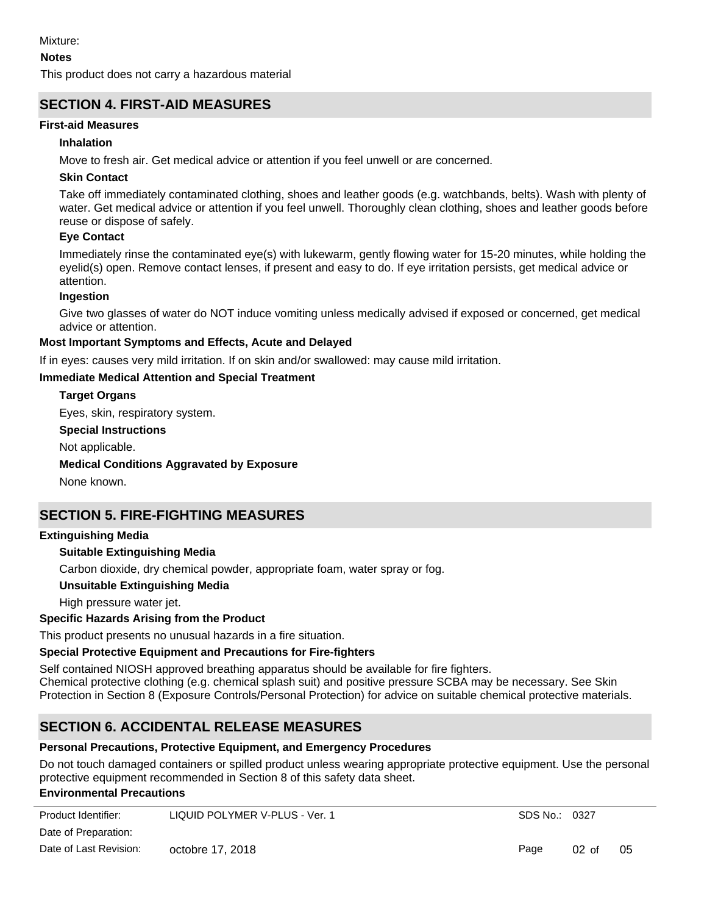#### **Notes**

This product does not carry a hazardous material

# **SECTION 4. FIRST-AID MEASURES**

### **First-aid Measures**

### **Inhalation**

Move to fresh air. Get medical advice or attention if you feel unwell or are concerned.

# **Skin Contact**

Take off immediately contaminated clothing, shoes and leather goods (e.g. watchbands, belts). Wash with plenty of water. Get medical advice or attention if you feel unwell. Thoroughly clean clothing, shoes and leather goods before reuse or dispose of safely.

# **Eye Contact**

Immediately rinse the contaminated eye(s) with lukewarm, gently flowing water for 15-20 minutes, while holding the eyelid(s) open. Remove contact lenses, if present and easy to do. If eye irritation persists, get medical advice or attention.

#### **Ingestion**

Give two glasses of water do NOT induce vomiting unless medically advised if exposed or concerned, get medical advice or attention.

#### **Most Important Symptoms and Effects, Acute and Delayed**

If in eyes: causes very mild irritation. If on skin and/or swallowed: may cause mild irritation.

#### **Immediate Medical Attention and Special Treatment**

#### **Target Organs**

Eyes, skin, respiratory system.

#### **Special Instructions**

Not applicable.

#### **Medical Conditions Aggravated by Exposure**

None known.

# **SECTION 5. FIRE-FIGHTING MEASURES**

#### **Extinguishing Media**

#### **Suitable Extinguishing Media**

Carbon dioxide, dry chemical powder, appropriate foam, water spray or fog.

**Unsuitable Extinguishing Media**

High pressure water jet.

#### **Specific Hazards Arising from the Product**

This product presents no unusual hazards in a fire situation.

#### **Special Protective Equipment and Precautions for Fire-fighters**

Self contained NIOSH approved breathing apparatus should be available for fire fighters. Chemical protective clothing (e.g. chemical splash suit) and positive pressure SCBA may be necessary. See Skin Protection in Section 8 (Exposure Controls/Personal Protection) for advice on suitable chemical protective materials.

# **SECTION 6. ACCIDENTAL RELEASE MEASURES**

#### **Personal Precautions, Protective Equipment, and Emergency Procedures**

Do not touch damaged containers or spilled product unless wearing appropriate protective equipment. Use the personal protective equipment recommended in Section 8 of this safety data sheet.

#### **Environmental Precautions**

| Product Identifier:    | LIQUID POLYMER V-PLUS - Ver. 1 | SDS No.: 0327 |         |    |
|------------------------|--------------------------------|---------------|---------|----|
| Date of Preparation:   |                                |               |         |    |
| Date of Last Revision: | octobre 17, 2018               | Page          | $02$ of | 05 |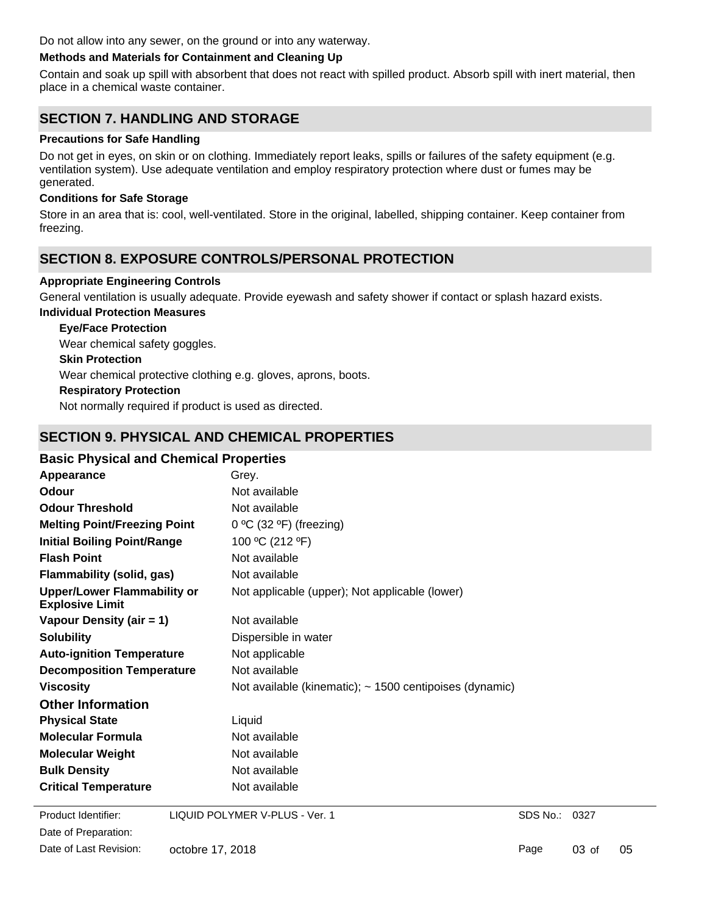Do not allow into any sewer, on the ground or into any waterway.

#### **Methods and Materials for Containment and Cleaning Up**

Contain and soak up spill with absorbent that does not react with spilled product. Absorb spill with inert material, then place in a chemical waste container.

# **SECTION 7. HANDLING AND STORAGE**

#### **Precautions for Safe Handling**

Do not get in eyes, on skin or on clothing. Immediately report leaks, spills or failures of the safety equipment (e.g. ventilation system). Use adequate ventilation and employ respiratory protection where dust or fumes may be generated.

#### **Conditions for Safe Storage**

Store in an area that is: cool, well-ventilated. Store in the original, labelled, shipping container. Keep container from freezing.

# **SECTION 8. EXPOSURE CONTROLS/PERSONAL PROTECTION**

#### **Appropriate Engineering Controls**

General ventilation is usually adequate. Provide eyewash and safety shower if contact or splash hazard exists.

### **Individual Protection Measures**

**Eye/Face Protection** Wear chemical safety goggles.

#### **Skin Protection**

Wear chemical protective clothing e.g. gloves, aprons, boots.

#### **Respiratory Protection**

Not normally required if product is used as directed.

# **SECTION 9. PHYSICAL AND CHEMICAL PROPERTIES**

### **Basic Physical and Chemical Properties**

| Grey.                                                        |
|--------------------------------------------------------------|
| Not available                                                |
| Not available                                                |
| $0 °C$ (32 °F) (freezing)                                    |
| 100 °C (212 °F)                                              |
| Not available                                                |
| Not available                                                |
| Not applicable (upper); Not applicable (lower)               |
| Not available                                                |
| Dispersible in water                                         |
| Not applicable                                               |
| Not available                                                |
| Not available (kinematic); $\sim$ 1500 centipoises (dynamic) |
|                                                              |
| Liquid                                                       |
| Not available                                                |
| Not available                                                |
| Not available                                                |
| Not available                                                |
|                                                              |

Date of Preparation: Product Identifier: LIQUID POLYMER V-PLUS - Ver. 1 Date of Last Revision: octobre 17, 2018

SDS No.: 0327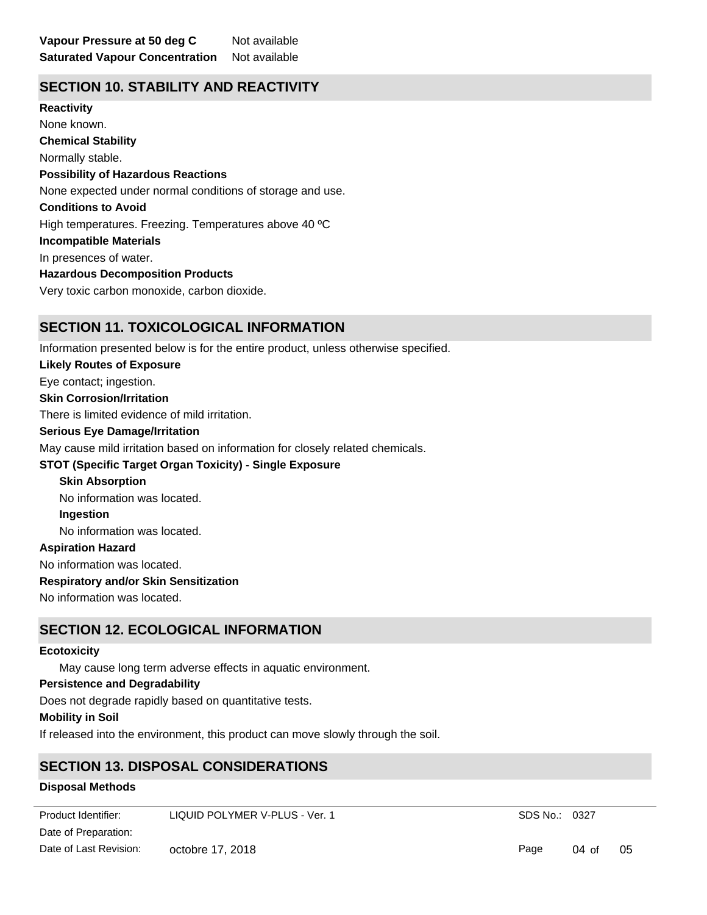# **SECTION 10. STABILITY AND REACTIVITY**

**Chemical Stability** Normally stable. **Conditions to Avoid** High temperatures. Freezing. Temperatures above 40 ºC **Incompatible Materials** In presences of water. **Hazardous Decomposition Products** Very toxic carbon monoxide, carbon dioxide. **Possibility of Hazardous Reactions** None expected under normal conditions of storage and use. **Reactivity** None known.

### **SECTION 11. TOXICOLOGICAL INFORMATION**

Information presented below is for the entire product, unless otherwise specified.

#### **Likely Routes of Exposure**

Eye contact; ingestion.

#### **Skin Corrosion/Irritation**

There is limited evidence of mild irritation.

#### **Serious Eye Damage/Irritation**

May cause mild irritation based on information for closely related chemicals.

#### **STOT (Specific Target Organ Toxicity) - Single Exposure**

**Skin Absorption** No information was located.

**Ingestion**

No information was located.

#### **Aspiration Hazard**

No information was located.

#### **Respiratory and/or Skin Sensitization**

No information was located.

# **SECTION 12. ECOLOGICAL INFORMATION**

#### **Ecotoxicity**

May cause long term adverse effects in aquatic environment.

#### **Persistence and Degradability**

Does not degrade rapidly based on quantitative tests.

### **Mobility in Soil**

If released into the environment, this product can move slowly through the soil.

# **SECTION 13. DISPOSAL CONSIDERATIONS**

### **Disposal Methods**

Could be coagulated and separated for landfill or incineration. Dispose in a license landfill according to official Product Identifier: LIQUID POLYMER V-PLUS - Ver. 1 SDS No.: 0327 Date of Preparation: Page 04 of 05 Date of Last Revision: octobre 17, 2018